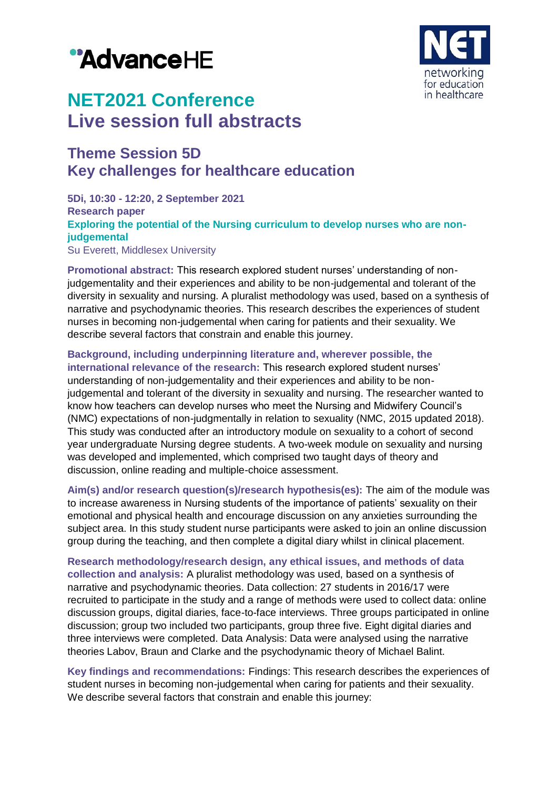# "AdvanceHE



## **NET2021 Conference Live session full abstracts**

### **Theme Session 5D Key challenges for healthcare education**

**5Di, 10:30 - 12:20, 2 September 2021 Research paper Exploring the potential of the Nursing curriculum to develop nurses who are nonjudgemental** Su Everett, Middlesex University

**Promotional abstract:** This research explored student nurses' understanding of nonjudgementality and their experiences and ability to be non-judgemental and tolerant of the diversity in sexuality and nursing. A pluralist methodology was used, based on a synthesis of narrative and psychodynamic theories. This research describes the experiences of student nurses in becoming non-judgemental when caring for patients and their sexuality. We describe several factors that constrain and enable this journey.

**Background, including underpinning literature and, wherever possible, the international relevance of the research:** This research explored student nurses' understanding of non-judgementality and their experiences and ability to be nonjudgemental and tolerant of the diversity in sexuality and nursing. The researcher wanted to know how teachers can develop nurses who meet the Nursing and Midwifery Council's (NMC) expectations of non-judgmentally in relation to sexuality (NMC, 2015 updated 2018). This study was conducted after an introductory module on sexuality to a cohort of second year undergraduate Nursing degree students. A two-week module on sexuality and nursing was developed and implemented, which comprised two taught days of theory and discussion, online reading and multiple-choice assessment.

**Aim(s) and/or research question(s)/research hypothesis(es):** The aim of the module was to increase awareness in Nursing students of the importance of patients' sexuality on their emotional and physical health and encourage discussion on any anxieties surrounding the subject area. In this study student nurse participants were asked to join an online discussion group during the teaching, and then complete a digital diary whilst in clinical placement.

**Research methodology/research design, any ethical issues, and methods of data collection and analysis:** A pluralist methodology was used, based on a synthesis of narrative and psychodynamic theories. Data collection: 27 students in 2016/17 were recruited to participate in the study and a range of methods were used to collect data: online discussion groups, digital diaries, face-to-face interviews. Three groups participated in online discussion; group two included two participants, group three five. Eight digital diaries and three interviews were completed. Data Analysis: Data were analysed using the narrative theories Labov, Braun and Clarke and the psychodynamic theory of Michael Balint.

**Key findings and recommendations:** Findings: This research describes the experiences of student nurses in becoming non-judgemental when caring for patients and their sexuality. We describe several factors that constrain and enable this journey: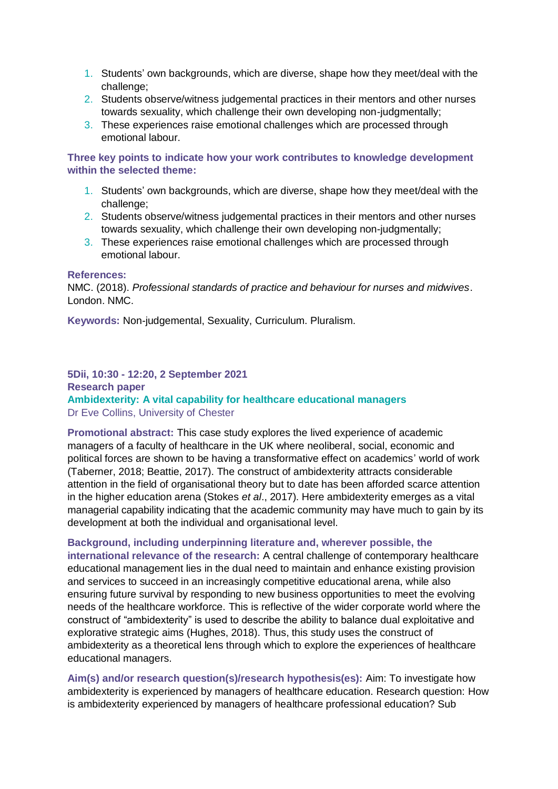- 1. Students' own backgrounds, which are diverse, shape how they meet/deal with the challenge;
- 2. Students observe/witness judgemental practices in their mentors and other nurses towards sexuality, which challenge their own developing non-judgmentally;
- 3. These experiences raise emotional challenges which are processed through emotional labour.

**Three key points to indicate how your work contributes to knowledge development within the selected theme:**

- 1. Students' own backgrounds, which are diverse, shape how they meet/deal with the challenge;
- 2. Students observe/witness judgemental practices in their mentors and other nurses towards sexuality, which challenge their own developing non-judgmentally;
- 3. These experiences raise emotional challenges which are processed through emotional labour.

#### **References:**

NMC. (2018). *Professional standards of practice and behaviour for nurses and midwives*. London. NMC.

**Keywords:** Non-judgemental, Sexuality, Curriculum. Pluralism.

#### **5Dii, 10:30 - 12:20, 2 September 2021 Research paper Ambidexterity: A vital capability for healthcare educational managers** Dr Eve Collins, University of Chester

**Promotional abstract:** This case study explores the lived experience of academic managers of a faculty of healthcare in the UK where neoliberal, social, economic and political forces are shown to be having a transformative effect on academics' world of work (Taberner, 2018; Beattie, 2017). The construct of ambidexterity attracts considerable attention in the field of organisational theory but to date has been afforded scarce attention in the higher education arena (Stokes *et al*., 2017). Here ambidexterity emerges as a vital managerial capability indicating that the academic community may have much to gain by its development at both the individual and organisational level.

**Background, including underpinning literature and, wherever possible, the** 

**international relevance of the research:** A central challenge of contemporary healthcare educational management lies in the dual need to maintain and enhance existing provision and services to succeed in an increasingly competitive educational arena, while also ensuring future survival by responding to new business opportunities to meet the evolving needs of the healthcare workforce. This is reflective of the wider corporate world where the construct of "ambidexterity" is used to describe the ability to balance dual exploitative and explorative strategic aims (Hughes, 2018). Thus, this study uses the construct of ambidexterity as a theoretical lens through which to explore the experiences of healthcare educational managers.

**Aim(s) and/or research question(s)/research hypothesis(es):** Aim: To investigate how ambidexterity is experienced by managers of healthcare education. Research question: How is ambidexterity experienced by managers of healthcare professional education? Sub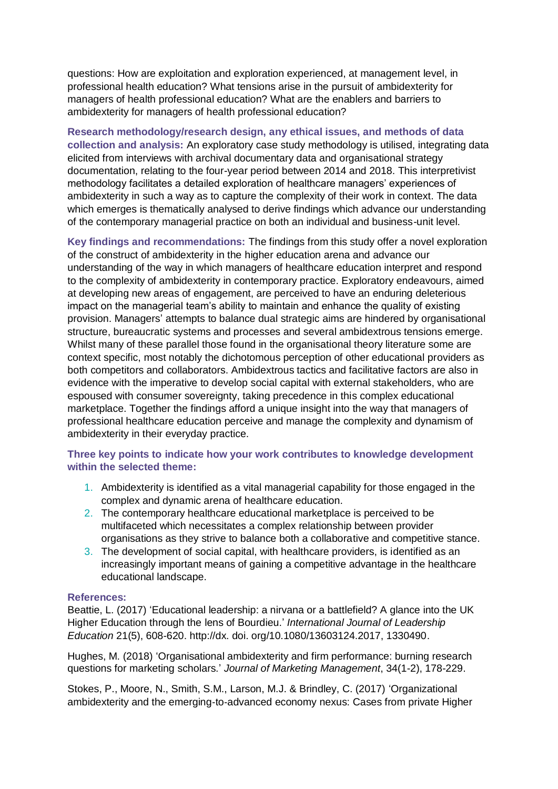questions: How are exploitation and exploration experienced, at management level, in professional health education? What tensions arise in the pursuit of ambidexterity for managers of health professional education? What are the enablers and barriers to ambidexterity for managers of health professional education?

**Research methodology/research design, any ethical issues, and methods of data collection and analysis:** An exploratory case study methodology is utilised, integrating data elicited from interviews with archival documentary data and organisational strategy documentation, relating to the four-year period between 2014 and 2018. This interpretivist methodology facilitates a detailed exploration of healthcare managers' experiences of ambidexterity in such a way as to capture the complexity of their work in context. The data which emerges is thematically analysed to derive findings which advance our understanding of the contemporary managerial practice on both an individual and business-unit level.

**Key findings and recommendations:** The findings from this study offer a novel exploration of the construct of ambidexterity in the higher education arena and advance our understanding of the way in which managers of healthcare education interpret and respond to the complexity of ambidexterity in contemporary practice. Exploratory endeavours, aimed at developing new areas of engagement, are perceived to have an enduring deleterious impact on the managerial team's ability to maintain and enhance the quality of existing provision. Managers' attempts to balance dual strategic aims are hindered by organisational structure, bureaucratic systems and processes and several ambidextrous tensions emerge. Whilst many of these parallel those found in the organisational theory literature some are context specific, most notably the dichotomous perception of other educational providers as both competitors and collaborators. Ambidextrous tactics and facilitative factors are also in evidence with the imperative to develop social capital with external stakeholders, who are espoused with consumer sovereignty, taking precedence in this complex educational marketplace. Together the findings afford a unique insight into the way that managers of professional healthcare education perceive and manage the complexity and dynamism of ambidexterity in their everyday practice.

#### **Three key points to indicate how your work contributes to knowledge development within the selected theme:**

- 1. Ambidexterity is identified as a vital managerial capability for those engaged in the complex and dynamic arena of healthcare education.
- 2. The contemporary healthcare educational marketplace is perceived to be multifaceted which necessitates a complex relationship between provider organisations as they strive to balance both a collaborative and competitive stance.
- 3. The development of social capital, with healthcare providers, is identified as an increasingly important means of gaining a competitive advantage in the healthcare educational landscape.

#### **References:**

Beattie, L. (2017) 'Educational leadership: a nirvana or a battlefield? A glance into the UK Higher Education through the lens of Bourdieu.' *International Journal of Leadership Education* 21(5), 608-620. http://dx. doi. org/10.1080/13603124.2017, 1330490.

Hughes, M. (2018) 'Organisational ambidexterity and firm performance: burning research questions for marketing scholars.' *Journal of Marketing Management*, 34(1-2), 178-229.

Stokes, P., Moore, N., Smith, S.M., Larson, M.J. & Brindley, C. (2017) 'Organizational ambidexterity and the emerging‐to‐advanced economy nexus: Cases from private Higher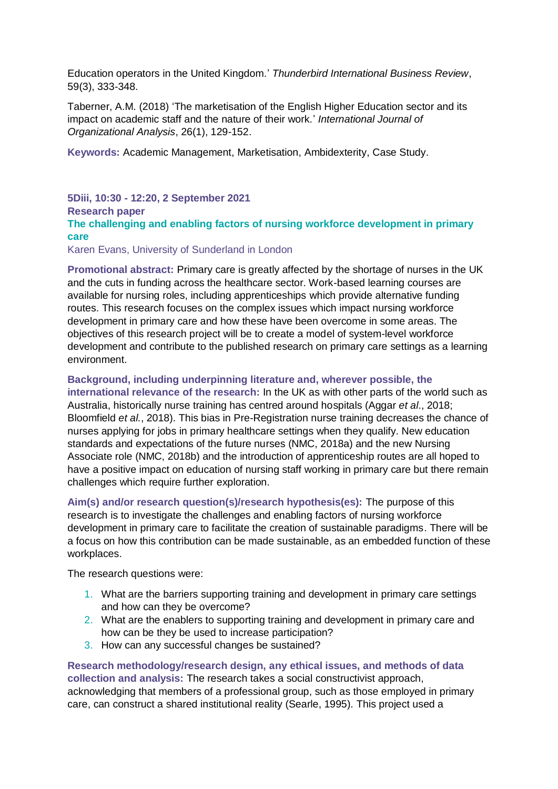Education operators in the United Kingdom.' *Thunderbird International Business Review*, 59(3), 333-348.

Taberner, A.M. (2018) 'The marketisation of the English Higher Education sector and its impact on academic staff and the nature of their work.' *International Journal of Organizational Analysis*, 26(1), 129-152.

**Keywords:** Academic Management, Marketisation, Ambidexterity, Case Study.

**5Diii, 10:30 - 12:20, 2 September 2021 Research paper The challenging and enabling factors of nursing workforce development in primary care** Karen Evans, University of Sunderland in London

**Promotional abstract:** Primary care is greatly affected by the shortage of nurses in the UK and the cuts in funding across the healthcare sector. Work-based learning courses are available for nursing roles, including apprenticeships which provide alternative funding routes. This research focuses on the complex issues which impact nursing workforce development in primary care and how these have been overcome in some areas. The objectives of this research project will be to create a model of system-level workforce development and contribute to the published research on primary care settings as a learning environment.

#### **Background, including underpinning literature and, wherever possible, the**

**international relevance of the research:** In the UK as with other parts of the world such as Australia, historically nurse training has centred around hospitals (Aggar *et al*., 2018; Bloomfield *et al.*, 2018). This bias in Pre-Registration nurse training decreases the chance of nurses applying for jobs in primary healthcare settings when they qualify. New education standards and expectations of the future nurses (NMC, 2018a) and the new Nursing Associate role (NMC, 2018b) and the introduction of apprenticeship routes are all hoped to have a positive impact on education of nursing staff working in primary care but there remain challenges which require further exploration.

**Aim(s) and/or research question(s)/research hypothesis(es):** The purpose of this research is to investigate the challenges and enabling factors of nursing workforce development in primary care to facilitate the creation of sustainable paradigms. There will be a focus on how this contribution can be made sustainable, as an embedded function of these workplaces.

The research questions were:

- 1. What are the barriers supporting training and development in primary care settings and how can they be overcome?
- 2. What are the enablers to supporting training and development in primary care and how can be they be used to increase participation?
- 3. How can any successful changes be sustained?

**Research methodology/research design, any ethical issues, and methods of data collection and analysis:** The research takes a social constructivist approach, acknowledging that members of a professional group, such as those employed in primary care, can construct a shared institutional reality (Searle, 1995). This project used a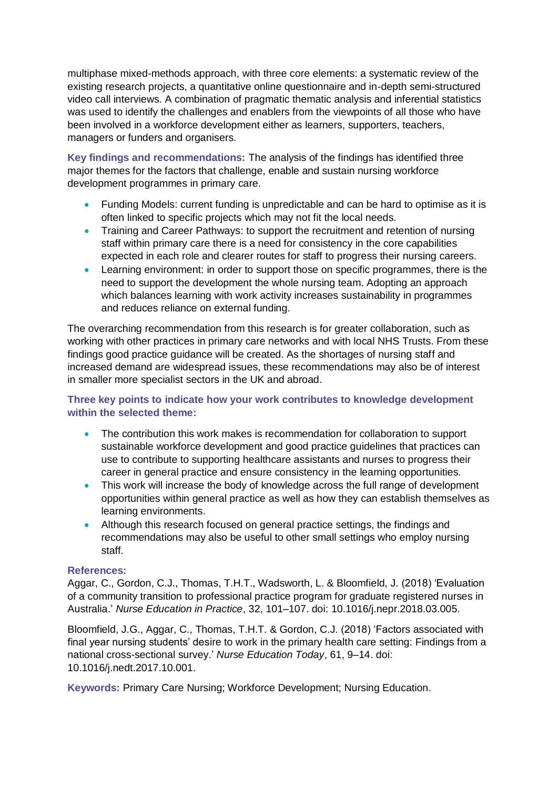multiphase mixed-methods approach, with three core elements: a systematic review of the existing research projects, a quantitative online questionnaire and in-depth semi-structured video call interviews. A combination of pragmatic thematic analysis and inferential statistics was used to identify the challenges and enablers from the viewpoints of all those who have been involved in a workforce development either as learners, supporters, teachers, managers or funders and organisers.

**Key findings and recommendations:** The analysis of the findings has identified three major themes for the factors that challenge, enable and sustain nursing workforce development programmes in primary care.

- Funding Models: current funding is unpredictable and can be hard to optimise as it is often linked to specific projects which may not fit the local needs.
- Training and Career Pathways: to support the recruitment and retention of nursing staff within primary care there is a need for consistency in the core capabilities expected in each role and clearer routes for staff to progress their nursing careers.
- Learning environment: in order to support those on specific programmes, there is the need to support the development the whole nursing team. Adopting an approach which balances learning with work activity increases sustainability in programmes and reduces reliance on external funding.

The overarching recommendation from this research is for greater collaboration, such as working with other practices in primary care networks and with local NHS Trusts. From these findings good practice guidance will be created. As the shortages of nursing staff and increased demand are widespread issues, these recommendations may also be of interest in smaller more specialist sectors in the UK and abroad.

#### **Three key points to indicate how your work contributes to knowledge development within the selected theme:**

- The contribution this work makes is recommendation for collaboration to support sustainable workforce development and good practice guidelines that practices can use to contribute to supporting healthcare assistants and nurses to progress their career in general practice and ensure consistency in the learning opportunities.
- This work will increase the body of knowledge across the full range of development opportunities within general practice as well as how they can establish themselves as learning environments.
- Although this research focused on general practice settings, the findings and recommendations may also be useful to other small settings who employ nursing staff.

#### **References:**

Aggar, C., Gordon, C.J., Thomas, T.H.T., Wadsworth, L. & Bloomfield, J. (2018) 'Evaluation of a community transition to professional practice program for graduate registered nurses in Australia.' *Nurse Education in Practice*, 32, 101–107. doi: 10.1016/j.nepr.2018.03.005.

Bloomfield, J.G., Aggar, C., Thomas, T.H.T. & Gordon, C.J. (2018) 'Factors associated with final year nursing students' desire to work in the primary health care setting: Findings from a national cross-sectional survey.' *Nurse Education Today*, 61, 9–14. doi: 10.1016/j.nedt.2017.10.001.

**Keywords:** Primary Care Nursing; Workforce Development; Nursing Education.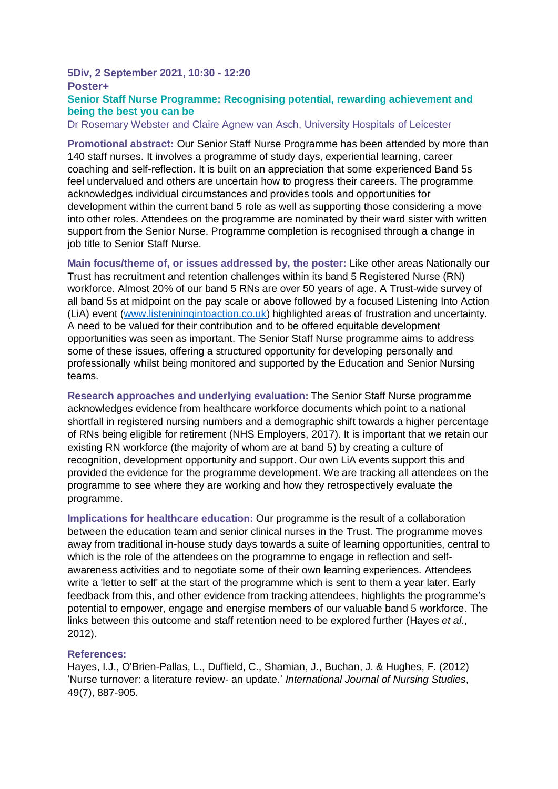#### **5Div, 2 September 2021, 10:30 - 12:20 Poster+ Senior Staff Nurse Programme: Recognising potential, rewarding achievement and being the best you can be**

Dr Rosemary Webster and Claire Agnew van Asch, University Hospitals of Leicester

**Promotional abstract:** Our Senior Staff Nurse Programme has been attended by more than 140 staff nurses. It involves a programme of study days, experiential learning, career coaching and self-reflection. It is built on an appreciation that some experienced Band 5s feel undervalued and others are uncertain how to progress their careers. The programme acknowledges individual circumstances and provides tools and opportunities for development within the current band 5 role as well as supporting those considering a move into other roles. Attendees on the programme are nominated by their ward sister with written support from the Senior Nurse. Programme completion is recognised through a change in job title to Senior Staff Nurse.

**Main focus/theme of, or issues addressed by, the poster:** Like other areas Nationally our Trust has recruitment and retention challenges within its band 5 Registered Nurse (RN) workforce. Almost 20% of our band 5 RNs are over 50 years of age. A Trust-wide survey of all band 5s at midpoint on the pay scale or above followed by a focused Listening Into Action (LiA) event [\(www.listeniningintoaction.co.uk\)](http://www.listeniningintoaction.co.uk/) highlighted areas of frustration and uncertainty. A need to be valued for their contribution and to be offered equitable development opportunities was seen as important. The Senior Staff Nurse programme aims to address some of these issues, offering a structured opportunity for developing personally and professionally whilst being monitored and supported by the Education and Senior Nursing teams.

**Research approaches and underlying evaluation:** The Senior Staff Nurse programme acknowledges evidence from healthcare workforce documents which point to a national shortfall in registered nursing numbers and a demographic shift towards a higher percentage of RNs being eligible for retirement (NHS Employers, 2017). It is important that we retain our existing RN workforce (the majority of whom are at band 5) by creating a culture of recognition, development opportunity and support. Our own LiA events support this and provided the evidence for the programme development. We are tracking all attendees on the programme to see where they are working and how they retrospectively evaluate the programme.

**Implications for healthcare education:** Our programme is the result of a collaboration between the education team and senior clinical nurses in the Trust. The programme moves away from traditional in-house study days towards a suite of learning opportunities, central to which is the role of the attendees on the programme to engage in reflection and selfawareness activities and to negotiate some of their own learning experiences. Attendees write a 'letter to self' at the start of the programme which is sent to them a year later. Early feedback from this, and other evidence from tracking attendees, highlights the programme's potential to empower, engage and energise members of our valuable band 5 workforce. The links between this outcome and staff retention need to be explored further (Hayes *et al*., 2012).

#### **References:**

Hayes, I.J., O'Brien-Pallas, L., Duffield, C., Shamian, J., Buchan, J. & Hughes, F. (2012) 'Nurse turnover: a literature review- an update.' *International Journal of Nursing Studies*, 49(7), 887-905.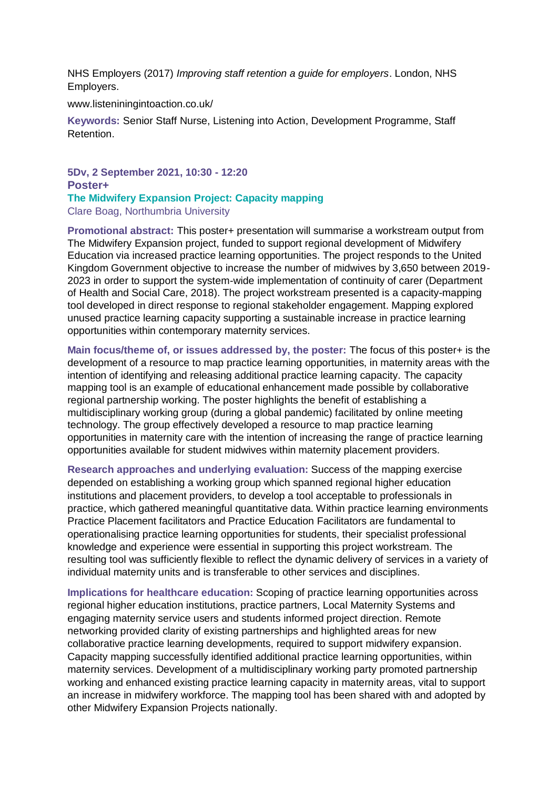NHS Employers (2017) *Improving staff retention a guide for employers*. London, NHS Employers.

www.listeniningintoaction.co.uk/

**Keywords:** Senior Staff Nurse, Listening into Action, Development Programme, Staff Retention.

**5Dv, 2 September 2021, 10:30 - 12:20 Poster+ The Midwifery Expansion Project: Capacity mapping** Clare Boag, Northumbria University

**Promotional abstract:** This poster+ presentation will summarise a workstream output from The Midwifery Expansion project, funded to support regional development of Midwifery Education via increased practice learning opportunities. The project responds to the United Kingdom Government objective to increase the number of midwives by 3,650 between 2019- 2023 in order to support the system-wide implementation of continuity of carer (Department of Health and Social Care, 2018). The project workstream presented is a capacity-mapping tool developed in direct response to regional stakeholder engagement. Mapping explored unused practice learning capacity supporting a sustainable increase in practice learning opportunities within contemporary maternity services.

**Main focus/theme of, or issues addressed by, the poster:** The focus of this poster+ is the development of a resource to map practice learning opportunities, in maternity areas with the intention of identifying and releasing additional practice learning capacity. The capacity mapping tool is an example of educational enhancement made possible by collaborative regional partnership working. The poster highlights the benefit of establishing a multidisciplinary working group (during a global pandemic) facilitated by online meeting technology. The group effectively developed a resource to map practice learning opportunities in maternity care with the intention of increasing the range of practice learning opportunities available for student midwives within maternity placement providers.

**Research approaches and underlying evaluation:** Success of the mapping exercise depended on establishing a working group which spanned regional higher education institutions and placement providers, to develop a tool acceptable to professionals in practice, which gathered meaningful quantitative data. Within practice learning environments Practice Placement facilitators and Practice Education Facilitators are fundamental to operationalising practice learning opportunities for students, their specialist professional knowledge and experience were essential in supporting this project workstream. The resulting tool was sufficiently flexible to reflect the dynamic delivery of services in a variety of individual maternity units and is transferable to other services and disciplines.

**Implications for healthcare education:** Scoping of practice learning opportunities across regional higher education institutions, practice partners, Local Maternity Systems and engaging maternity service users and students informed project direction. Remote networking provided clarity of existing partnerships and highlighted areas for new collaborative practice learning developments, required to support midwifery expansion. Capacity mapping successfully identified additional practice learning opportunities, within maternity services. Development of a multidisciplinary working party promoted partnership working and enhanced existing practice learning capacity in maternity areas, vital to support an increase in midwifery workforce. The mapping tool has been shared with and adopted by other Midwifery Expansion Projects nationally.